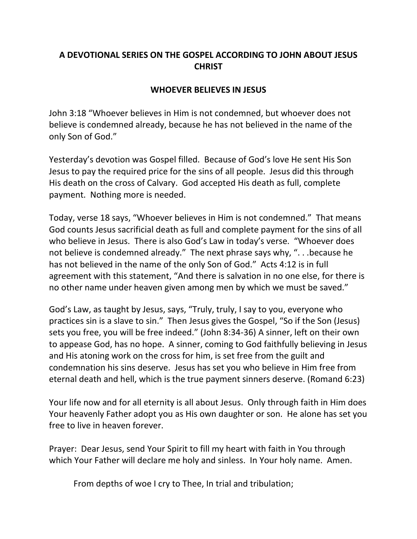## **A DEVOTIONAL SERIES ON THE GOSPEL ACCORDING TO JOHN ABOUT JESUS CHRIST**

## **WHOEVER BELIEVES IN JESUS**

John 3:18 "Whoever believes in Him is not condemned, but whoever does not believe is condemned already, because he has not believed in the name of the only Son of God."

Yesterday's devotion was Gospel filled. Because of God's love He sent His Son Jesus to pay the required price for the sins of all people. Jesus did this through His death on the cross of Calvary. God accepted His death as full, complete payment. Nothing more is needed.

Today, verse 18 says, "Whoever believes in Him is not condemned." That means God counts Jesus sacrificial death as full and complete payment for the sins of all who believe in Jesus. There is also God's Law in today's verse. "Whoever does not believe is condemned already." The next phrase says why, ". . .because he has not believed in the name of the only Son of God." Acts 4:12 is in full agreement with this statement, "And there is salvation in no one else, for there is no other name under heaven given among men by which we must be saved."

God's Law, as taught by Jesus, says, "Truly, truly, I say to you, everyone who practices sin is a slave to sin." Then Jesus gives the Gospel, "So if the Son (Jesus) sets you free, you will be free indeed." (John 8:34-36) A sinner, left on their own to appease God, has no hope. A sinner, coming to God faithfully believing in Jesus and His atoning work on the cross for him, is set free from the guilt and condemnation his sins deserve. Jesus has set you who believe in Him free from eternal death and hell, which is the true payment sinners deserve. (Romand 6:23)

Your life now and for all eternity is all about Jesus. Only through faith in Him does Your heavenly Father adopt you as His own daughter or son. He alone has set you free to live in heaven forever.

Prayer: Dear Jesus, send Your Spirit to fill my heart with faith in You through which Your Father will declare me holy and sinless. In Your holy name. Amen.

From depths of woe I cry to Thee, In trial and tribulation;